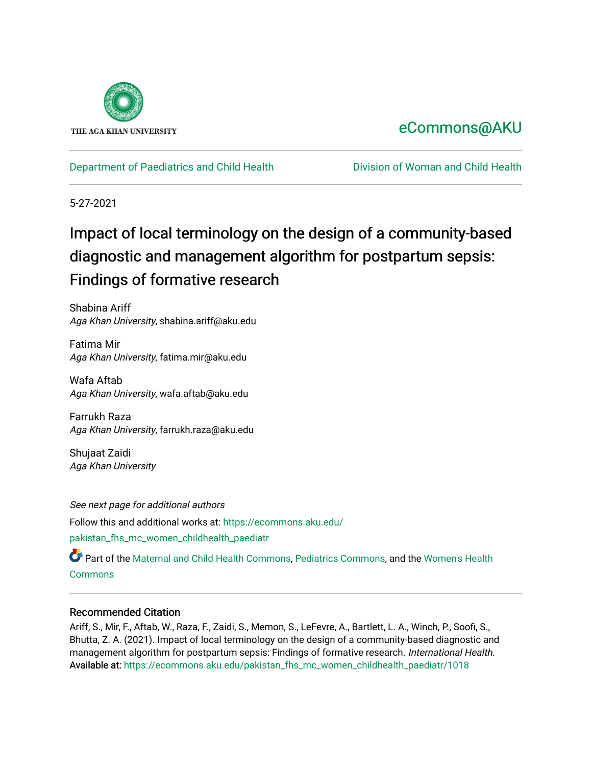

# [eCommons@AKU](https://ecommons.aku.edu/)

[Department of Paediatrics and Child Health](https://ecommons.aku.edu/pakistan_fhs_mc_women_childhealth_paediatr) [Division of Woman and Child Health](https://ecommons.aku.edu/pakistan_fhs_mc_women_childhealth) 

5-27-2021

# Impact of local terminology on the design of a community-based diagnostic and management algorithm for postpartum sepsis: Findings of formative research

Shabina Ariff Aga Khan University, shabina.ariff@aku.edu

Fatima Mir Aga Khan University, fatima.mir@aku.edu

Wafa Aftab Aga Khan University, wafa.aftab@aku.edu

Farrukh Raza Aga Khan University, farrukh.raza@aku.edu

Shujaat Zaidi Aga Khan University

See next page for additional authors Follow this and additional works at: [https://ecommons.aku.edu/](https://ecommons.aku.edu/pakistan_fhs_mc_women_childhealth_paediatr?utm_source=ecommons.aku.edu%2Fpakistan_fhs_mc_women_childhealth_paediatr%2F1018&utm_medium=PDF&utm_campaign=PDFCoverPages) [pakistan\\_fhs\\_mc\\_women\\_childhealth\\_paediatr](https://ecommons.aku.edu/pakistan_fhs_mc_women_childhealth_paediatr?utm_source=ecommons.aku.edu%2Fpakistan_fhs_mc_women_childhealth_paediatr%2F1018&utm_medium=PDF&utm_campaign=PDFCoverPages) 

Part of the [Maternal and Child Health Commons,](http://network.bepress.com/hgg/discipline/745?utm_source=ecommons.aku.edu%2Fpakistan_fhs_mc_women_childhealth_paediatr%2F1018&utm_medium=PDF&utm_campaign=PDFCoverPages) [Pediatrics Commons](http://network.bepress.com/hgg/discipline/700?utm_source=ecommons.aku.edu%2Fpakistan_fhs_mc_women_childhealth_paediatr%2F1018&utm_medium=PDF&utm_campaign=PDFCoverPages), and the [Women's Health](http://network.bepress.com/hgg/discipline/1241?utm_source=ecommons.aku.edu%2Fpakistan_fhs_mc_women_childhealth_paediatr%2F1018&utm_medium=PDF&utm_campaign=PDFCoverPages) **[Commons](http://network.bepress.com/hgg/discipline/1241?utm_source=ecommons.aku.edu%2Fpakistan_fhs_mc_women_childhealth_paediatr%2F1018&utm_medium=PDF&utm_campaign=PDFCoverPages)** 

### Recommended Citation

Ariff, S., Mir, F., Aftab, W., Raza, F., Zaidi, S., Memon, S., LeFevre, A., Bartlett, L. A., Winch, P., Soofi, S., Bhutta, Z. A. (2021). Impact of local terminology on the design of a community-based diagnostic and management algorithm for postpartum sepsis: Findings of formative research. International Health. Available at: [https://ecommons.aku.edu/pakistan\\_fhs\\_mc\\_women\\_childhealth\\_paediatr/1018](https://ecommons.aku.edu/pakistan_fhs_mc_women_childhealth_paediatr/1018)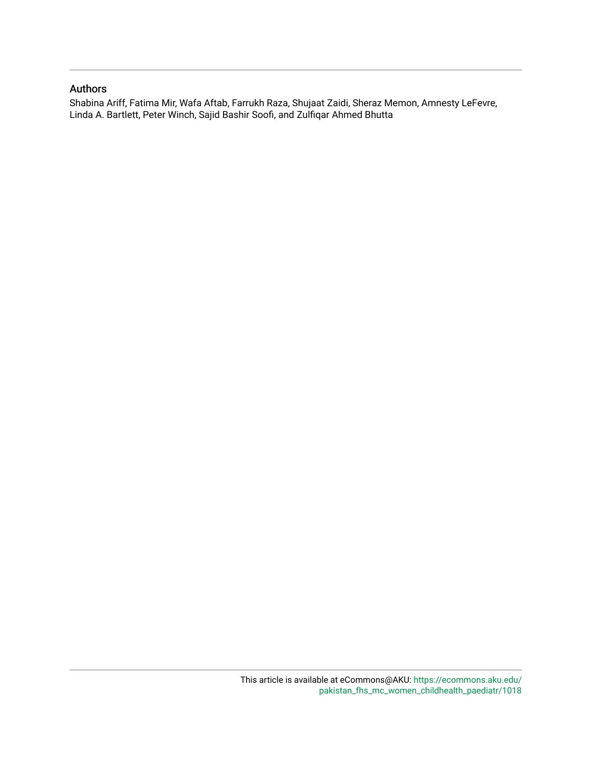### Authors

Shabina Ariff, Fatima Mir, Wafa Aftab, Farrukh Raza, Shujaat Zaidi, Sheraz Memon, Amnesty LeFevre, Linda A. Bartlett, Peter Winch, Sajid Bashir Soofi, and Zulfiqar Ahmed Bhutta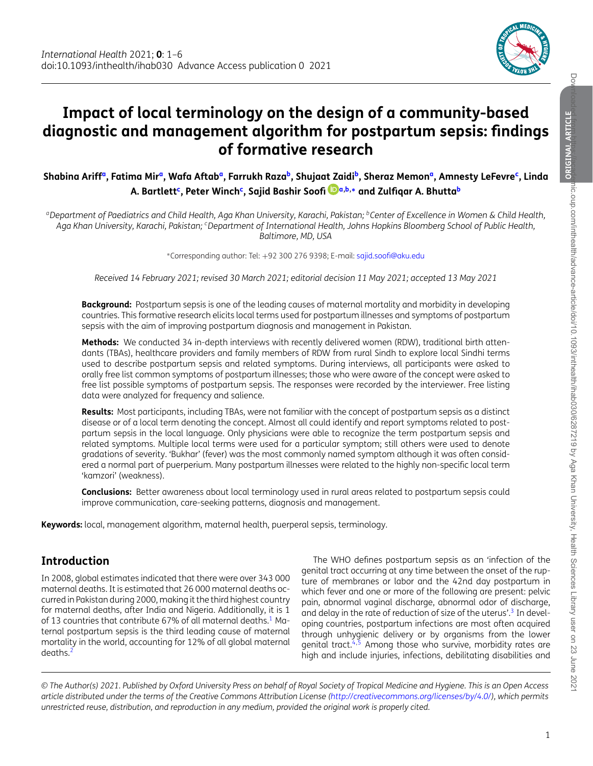

 $\overline{C}$ 

# **Impact of local terminology on the design of a community-based diagnostic and management algorithm for postpartum sepsis: findings of formative research**

**Shabina Arif[fa,](#page-2-0) Fatima Mi[ra,](#page-2-0) Wafa Afta[ba,](#page-2-0) Farrukh Raz[ab,](#page-2-1) Shujaat Zaid[ib,](#page-2-1) Sheraz Memo[na,](#page-2-0) Amnesty LeFevr[ec,](#page-2-2) Linda A. Bartlet[tc,](#page-2-2) Peter Winc[hc,](#page-2-2) Sajid Bashir Soofi [a](#page-2-0)[,b,](#page-2-1)[∗](#page-2-3) and Zulfiqar A. Bhutt[ab](#page-2-1)**

<span id="page-2-0"></span>*aDepartment of Paediatrics and Child Health, Aga Khan University, Karachi, Pakistan; bCenter of Excellence in Women & Child Health, Aga Khan University, Karachi, Pakistan; cDepartment of International Health, Johns Hopkins Bloomberg School of Public Health, Baltimore, MD, USA*

<span id="page-2-3"></span><span id="page-2-2"></span><span id="page-2-1"></span><sup>∗</sup>Corresponding author: Tel: +92 300 276 9398; E-mail: [sajid.soofi@aku.edu](mailto:sajid.soofi@aku.edu)

*Received 14 February 2021; revised 30 March 2021; editorial decision 11 May 2021; accepted 13 May 2021*

**Background:** Postpartum sepsis is one of the leading causes of maternal mortality and morbidity in developing countries. This formative research elicits local terms used for postpartum illnesses and symptoms of postpartum sepsis with the aim of improving postpartum diagnosis and management in Pakistan.

Methods: We conducted 34 in-depth interviews with recently delivered women (RDW), traditional birth attendants (TBAs), healthcare providers and family members of RDW from rural Sindh to explore local Sindhi terms used to describe postpartum sepsis and related symptoms. During interviews, all participants were asked to orally free list common symptoms of postpartum illnesses; those who were aware of the concept were asked to free list possible symptoms of postpartum sepsis. The responses were recorded by the interviewer. Free listing data were analyzed for frequency and salience.

**Results:** Most participants, including TBAs, were not familiar with the concept of postpartum sepsis as a distinct disease or of a local term denoting the concept. Almost all could identify and report symptoms related to postpartum sepsis in the local language. Only physicians were able to recognize the term postpartum sepsis and related symptoms. Multiple local terms were used for a particular symptom; still others were used to denote gradations of severity. 'Bukhar' (fever) was the most commonly named symptom although it was often considered a normal part of puerperium. Many postpartum illnesses were related to the highly non-specific local term 'kamzori' (weakness).

**Conclusions:** Better awareness about local terminology used in rural areas related to postpartum sepsis could improve communication, care-seeking patterns, diagnosis and management.

**Keywords:** local, management algorithm, maternal health, puerperal sepsis, terminology.

### **Introduction**

In 2008, global estimates indicated that there were over 343 000 maternal deaths. It is estimated that 26 000 maternal deaths occurred in Pakistan during 2000, making it the third highest country for maternal deaths, after India and Nigeria. Additionally, it is 1 of 13 countries that contribute 67% of all maternal deaths. $1$  Maternal postpartum sepsis is the third leading cause of maternal mortality in the world, accounting for 12% of all global maternal  $deaths.<sup>2</sup>$ 

The WHO defines postpartum sepsis as an 'infection of the genital tract occurring at any time between the onset of the rupture of membranes or labor and the 42nd day postpartum in which fever and one or more of the following are present: pelvic pain, abnormal vaginal discharge, abnormal odor of discharge, and delay in the rate of reduction of size of the uterus'.<sup>3</sup> In developing countries, postpartum infections are most often acquired through unhygienic delivery or by organisms from the lower genital tract.<sup>4,[5](#page-7-4)</sup> Among those who survive, morbidity rates are high and include injuries, infections, debilitating disabilities and

*© The Author(s) 2021. Published by Oxford University Press on behalf of Royal Society of Tropical Medicine and Hygiene. This is an Open Access article distributed under the terms of the Creative Commons Attribution License [\(http://creativecommons.org/licenses/by/4.0/\)](http://creativecommons.org/licenses/by/4.0/), which permits unrestricted reuse, distribution, and reproduction in any medium, provided the original work is properly cited.*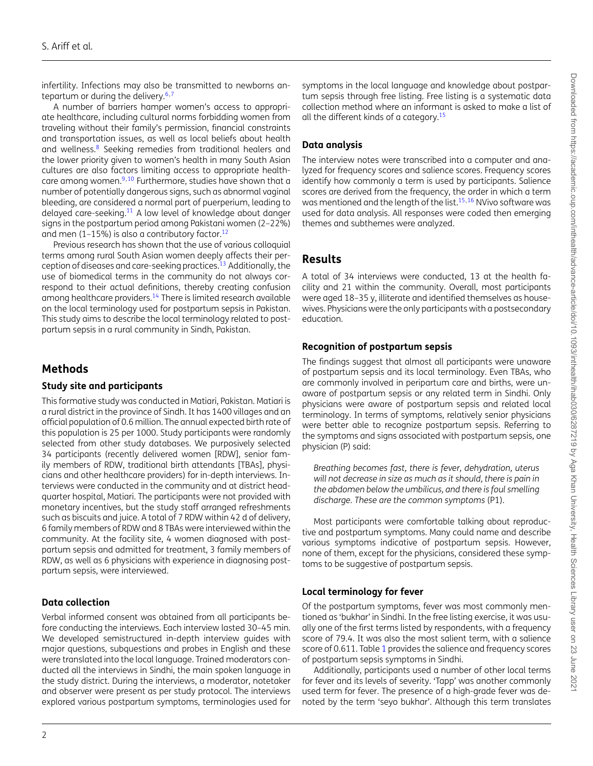infertility. Infections may also be transmitted to newborns an-tepartum or during the delivery.<sup>[6,](#page-7-5)[7](#page-7-6)</sup>

A number of barriers hamper women's access to appropriate healthcare, including cultural norms forbidding women from traveling without their family's permission, financial constraints and transportation issues, as well as local beliefs about health and wellness.[8](#page-7-7) Seeking remedies from traditional healers and the lower priority given to women's health in many South Asian cultures are also factors limiting access to appropriate healthcare among women. $9,10$  $9,10$  Furthermore, studies have shown that a number of potentially dangerous signs, such as abnormal vaginal bleeding, are considered a normal part of puerperium, leading to delayed care-seeking.[11](#page-7-10) A low level of knowledge about danger signs in the postpartum period among Pakistani women (2–22%) and men  $(1-15%)$  is also a contributory factor.<sup>[12](#page-7-11)</sup>

Previous research has shown that the use of various colloquial terms among rural South Asian women deeply affects their perception of diseases and care-seeking practices.<sup>13</sup> Additionally, the use of biomedical terms in the community do not always correspond to their actual definitions, thereby creating confusion among healthcare providers[.14](#page-7-13) There is limited research available on the local terminology used for postpartum sepsis in Pakistan. This study aims to describe the local terminology related to postpartum sepsis in a rural community in Sindh, Pakistan.

### **Methods**

### **Study site and participants**

This formative study was conducted in Matiari, Pakistan. Matiari is a rural district in the province of Sindh. It has 1400 villages and an official population of 0.6 million. The annual expected birth rate of this population is 25 per 1000. Study participants were randomly selected from other study databases. We purposively selected 34 participants (recently delivered women [RDW], senior family members of RDW, traditional birth attendants [TBAs], physicians and other healthcare providers) for in-depth interviews. Interviews were conducted in the community and at district headquarter hospital, Matiari. The participants were not provided with monetary incentives, but the study staff arranged refreshments such as biscuits and juice. A total of 7 RDW within 42 d of delivery, 6 family members of RDW and 8 TBAs were interviewed within the community. At the facility site, 4 women diagnosed with postpartum sepsis and admitted for treatment, 3 family members of RDW, as well as 6 physicians with experience in diagnosing postpartum sepsis, were interviewed.

### **Data collection**

Verbal informed consent was obtained from all participants before conducting the interviews. Each interview lasted 30–45 min. We developed semistructured in-depth interview guides with major questions, subquestions and probes in English and these were translated into the local language. Trained moderators conducted all the interviews in Sindhi, the main spoken language in the study district. During the interviews, a moderator, notetaker and observer were present as per study protocol. The interviews explored various postpartum symptoms, terminologies used for symptoms in the local language and knowledge about postpartum sepsis through free listing. Free listing is a systematic data collection method where an informant is asked to make a list of all the different kinds of a category.<sup>15</sup>

### **Data analysis**

The interview notes were transcribed into a computer and analyzed for frequency scores and salience scores. Frequency scores identify how commonly a term is used by participants. Salience scores are derived from the frequency, the order in which a term was mentioned and the length of the list.<sup>15,[16](#page-7-15)</sup> NVivo software was used for data analysis. All responses were coded then emerging themes and subthemes were analyzed.

### **Results**

A total of 34 interviews were conducted, 13 at the health facility and 21 within the community. Overall, most participants were aged 18–35 y, illiterate and identified themselves as housewives. Physicians were the only participants with a postsecondary education.

### **Recognition of postpartum sepsis**

The findings suggest that almost all participants were unaware of postpartum sepsis and its local terminology. Even TBAs, who are commonly involved in peripartum care and births, were unaware of postpartum sepsis or any related term in Sindhi. Only physicians were aware of postpartum sepsis and related local terminology. In terms of symptoms, relatively senior physicians were better able to recognize postpartum sepsis. Referring to the symptoms and signs associated with postpartum sepsis, one physician (P) said:

*Breathing becomes fast, there is fever, dehydration, uterus will not decrease in size as much as it should, there is pain in the abdomen below the umbilicus, and there is foul smelling discharge. These are the common symptoms* (P1).

Most participants were comfortable talking about reproductive and postpartum symptoms. Many could name and describe various symptoms indicative of postpartum sepsis. However, none of them, except for the physicians, considered these symptoms to be suggestive of postpartum sepsis.

### **Local terminology for fever**

Of the postpartum symptoms, fever was most commonly mentioned as 'bukhar' in Sindhi. In the free listing exercise, it was usually one of the first terms listed by respondents, with a frequency score of 79.4. It was also the most salient term, with a salience score of 0.611. Table [1](#page-4-0) provides the salience and frequency scores of postpartum sepsis symptoms in Sindhi.

Additionally, participants used a number of other local terms for fever and its levels of severity. 'Tapp' was another commonly used term for fever. The presence of a high-grade fever was denoted by the term 'seyo bukhar'. Although this term translates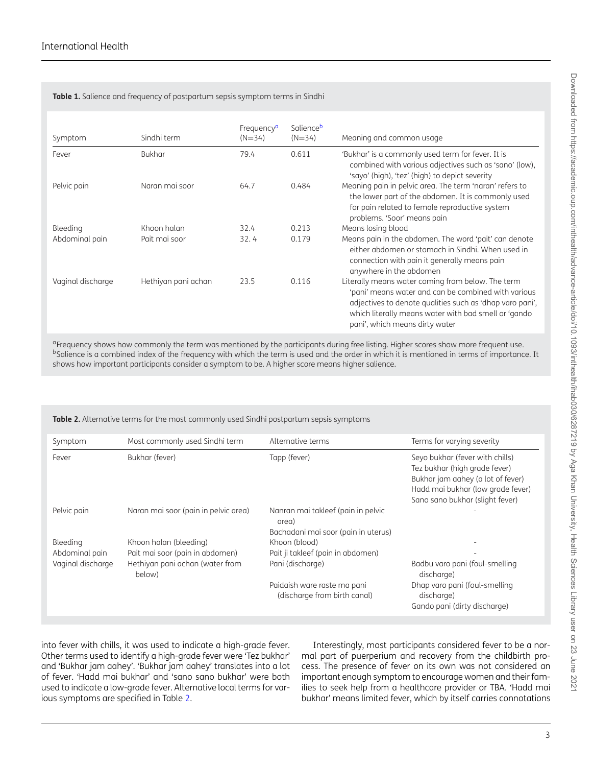#### <span id="page-4-0"></span>**Table 1.** Salience and frequency of postpartum sepsis symptom terms in Sindhi

| Symptom           | Sindhi term         | Frequency <sup>a</sup><br>$(N=34)$ | Salienceb<br>$(N=34)$ | Meaning and common usage                                                                                                                                                                                                                                       |
|-------------------|---------------------|------------------------------------|-----------------------|----------------------------------------------------------------------------------------------------------------------------------------------------------------------------------------------------------------------------------------------------------------|
| Fever             | <b>Bukhar</b>       | 79.4                               | 0.611                 | 'Bukhar' is a commonly used term for fever. It is<br>combined with various adjectives such as 'sano' (low),<br>'sayo' (high), 'tez' (high) to depict severity                                                                                                  |
| Pelvic pain       | Naran mai soor      | 64.7                               | 0.484                 | Meaning pain in pelvic area. The term 'naran' refers to<br>the lower part of the abdomen. It is commonly used<br>for pain related to female reproductive system<br>problems. 'Soor' means pain                                                                 |
| Bleeding          | Khoon halan         | 32.4                               | 0.213                 | Means losing blood                                                                                                                                                                                                                                             |
| Abdominal pain    | Pait mai soor       | 32.4                               | 0.179                 | Means pain in the abdomen. The word 'pait' can denote<br>either abdomen or stomach in Sindhi. When used in<br>connection with pain it generally means pain<br>anywhere in the abdomen                                                                          |
| Vaginal discharge | Hethiyan pani achan | 23.5                               | 0.116                 | Literally means water coming from below. The term<br>'pani' means water and can be combined with various<br>adjectives to denote qualities such as 'dhap varo pani',<br>which literally means water with bad smell or 'gando<br>pani', which means dirty water |

<span id="page-4-2"></span><span id="page-4-1"></span><sup>a</sup>Frequency shows how commonly the term was mentioned by the participants during free listing. Higher scores show more frequent use. <sup>b</sup>Salience is a combined index of the frequency with which the term is used and the order in which it is mentioned in terms of importance. It shows how important participants consider a symptom to be. A higher score means higher salience.

<span id="page-4-3"></span>**Table 2.** Alternative terms for the most commonly used Sindhi postpartum sepsis symptoms

| Symptom           | Most commonly used Sindhi term            | Alternative terms                                                                  | Terms for varying severity                                                                                                                                                    |
|-------------------|-------------------------------------------|------------------------------------------------------------------------------------|-------------------------------------------------------------------------------------------------------------------------------------------------------------------------------|
| Fever             | Bukhar (fever)                            | Tapp (fever)                                                                       | Seyo bukhar (fever with chills)<br>Tez bukhar (high grade fever)<br>Bukhar jam aahey (a lot of fever)<br>Hadd mai bukhar (low grade fever)<br>Sano sano bukhar (slight fever) |
| Pelvic pain       | Naran mai soor (pain in pelvic area)      | Nanran mai takleef (pain in pelvic<br>area)<br>Bachadani mai soor (pain in uterus) |                                                                                                                                                                               |
| Bleeding          | Khoon halan (bleeding)                    | Khoon (blood)                                                                      |                                                                                                                                                                               |
| Abdominal pain    | Pait mai soor (pain in abdomen)           | Pait ji takleef (pain in abdomen)                                                  |                                                                                                                                                                               |
| Vaginal discharge | Hethiyan pani achan (water from<br>below) | Pani (discharge)                                                                   | Badbu varo pani (foul-smelling<br>discharge)                                                                                                                                  |
|                   |                                           | Paidaish ware raste ma pani<br>(discharge from birth canal)                        | Dhap varo pani (foul-smelling<br>discharge)<br>Gando pani (dirty discharge)                                                                                                   |

into fever with chills, it was used to indicate a high-grade fever. Other terms used to identify a high-grade fever were 'Tez bukhar' and 'Bukhar jam aahey'. 'Bukhar jam aahey' translates into a lot of fever. 'Hadd mai bukhar' and 'sano sano bukhar' were both used to indicate a low-grade fever. Alternative local terms for various symptoms are specified in Table [2.](#page-4-3)

Interestingly, most participants considered fever to be a normal part of puerperium and recovery from the childbirth process. The presence of fever on its own was not considered an important enough symptom to encourage women and their families to seek help from a healthcare provider or TBA. 'Hadd mai bukhar' means limited fever, which by itself carries connotations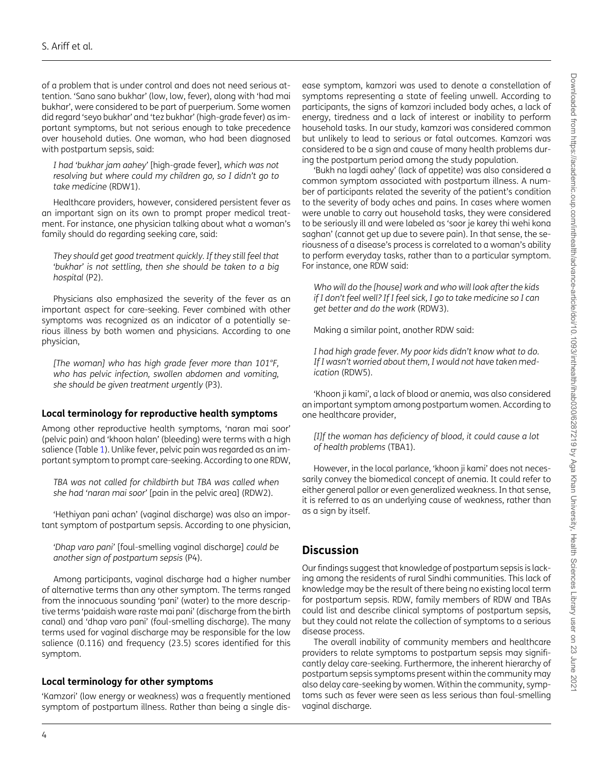of a problem that is under control and does not need serious attention. 'Sano sano bukhar' (low, low, fever), along with 'had mai bukhar', were considered to be part of puerperium. Some women did regard 'seyo bukhar' and 'tez bukhar' (high-grade fever) as important symptoms, but not serious enough to take precedence over household duties. One woman, who had been diagnosed with postpartum sepsis, said:

*I had 'bukhar jam aahey'* [high-grade fever]*, which was not resolving but where could my children go, so I didn't go to take medicine* (RDW1).

Healthcare providers, however, considered persistent fever as an important sign on its own to prompt proper medical treatment. For instance, one physician talking about what a woman's family should do regarding seeking care, said:

*They should get good treatment quickly. If they still feel that 'bukhar' is not settling, then she should be taken to a big hospital* (P2).

Physicians also emphasized the severity of the fever as an important aspect for care-seeking. Fever combined with other symptoms was recognized as an indicator of a potentially serious illness by both women and physicians. According to one physician,

*[The woman] who has high grade fever more than 101°F, who has pelvic infection, swollen abdomen and vomiting, she should be given treatment urgently* (P3).

### **Local terminology for reproductive health symptoms**

Among other reproductive health symptoms, 'naran mai soor' (pelvic pain) and 'khoon halan' (bleeding) were terms with a high salience (Table [1\)](#page-4-0). Unlike fever, pelvic pain was regarded as an important symptom to prompt care-seeking. According to one RDW,

*TBA was not called for childbirth but TBA was called when she had 'naran mai soor'* [pain in the pelvic area] (RDW2).

'Hethiyan pani achan' (vaginal discharge) was also an important symptom of postpartum sepsis. According to one physician,

*'Dhap varo pani'* [foul-smelling vaginal discharge] *could be another sign of postpartum sepsis* (P4).

Among participants, vaginal discharge had a higher number of alternative terms than any other symptom. The terms ranged from the innocuous sounding 'pani' (water) to the more descriptive terms 'paidaish ware raste mai pani' (discharge from the birth canal) and 'dhap varo pani' (foul-smelling discharge). The many terms used for vaginal discharge may be responsible for the low salience (0.116) and frequency (23.5) scores identified for this symptom.

### **Local terminology for other symptoms**

'Kamzori' (low energy or weakness) was a frequently mentioned symptom of postpartum illness. Rather than being a single disease symptom, kamzori was used to denote a constellation of symptoms representing a state of feeling unwell. According to participants, the signs of kamzori included body aches, a lack of energy, tiredness and a lack of interest or inability to perform household tasks. In our study, kamzori was considered common but unlikely to lead to serious or fatal outcomes. Kamzori was considered to be a sign and cause of many health problems during the postpartum period among the study population.

'Bukh na lagdi aahey' (lack of appetite) was also considered a common symptom associated with postpartum illness. A number of participants related the severity of the patient's condition to the severity of body aches and pains. In cases where women were unable to carry out household tasks, they were considered to be seriously ill and were labeled as 'soor je karey thi wehi kona saghan' (cannot get up due to severe pain). In that sense, the seriousness of a disease's process is correlated to a woman's ability to perform everyday tasks, rather than to a particular symptom. For instance, one RDW said:

*Who will do the [house] work and who will look after the kids if I don't feel well? If I feel sick, I go to take medicine so I can get better and do the work* (RDW3).

Making a similar point, another RDW said:

*I had high grade fever. My poor kids didn't know what to do. If I wasn't worried about them, I would not have taken medication* (RDW5).

'Khoon ji kami', a lack of blood or anemia, was also considered an important symptom among postpartum women. According to one healthcare provider,

*[I]f the woman has deficiency of blood, it could cause a lot of health problems* (TBA1).

However, in the local parlance, 'khoon ji kami' does not necessarily convey the biomedical concept of anemia. It could refer to either general pallor or even generalized weakness. In that sense, it is referred to as an underlying cause of weakness, rather than as a sign by itself.

### **Discussion**

Our findings suggest that knowledge of postpartum sepsis is lacking among the residents of rural Sindhi communities. This lack of knowledge may be the result of there being no existing local term for postpartum sepsis. RDW, family members of RDW and TBAs could list and describe clinical symptoms of postpartum sepsis, but they could not relate the collection of symptoms to a serious disease process.

The overall inability of community members and healthcare providers to relate symptoms to postpartum sepsis may significantly delay care-seeking. Furthermore, the inherent hierarchy of postpartum sepsis symptoms present within the community may also delay care-seeking by women. Within the community, symptoms such as fever were seen as less serious than foul-smelling vaginal discharge.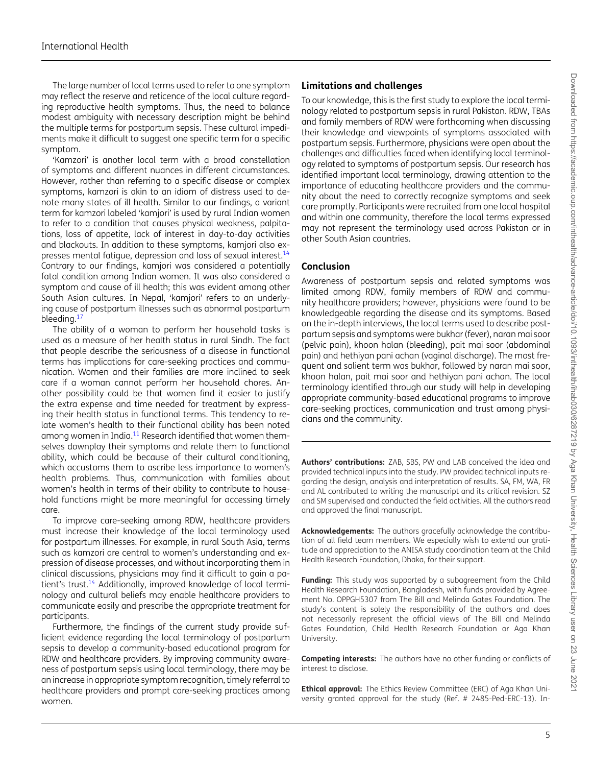The large number of local terms used to refer to one symptom may reflect the reserve and reticence of the local culture regarding reproductive health symptoms. Thus, the need to balance modest ambiguity with necessary description might be behind the multiple terms for postpartum sepsis. These cultural impediments make it difficult to suggest one specific term for a specific symptom.

'Kamzori' is another local term with a broad constellation of symptoms and different nuances in different circumstances. However, rather than referring to a specific disease or complex symptoms, kamzori is akin to an idiom of distress used to denote many states of ill health. Similar to our findings, a variant term for kamzori labeled 'kamjori' is used by rural Indian women to refer to a condition that causes physical weakness, palpitations, loss of appetite, lack of interest in day-to-day activities and blackouts. In addition to these symptoms, kamjori also expresses mental fatigue, depression and loss of sexual interest[.14](#page-7-13) Contrary to our findings, kamjori was considered a potentially fatal condition among Indian women. It was also considered a symptom and cause of ill health; this was evident among other South Asian cultures. In Nepal, 'kamjori' refers to an underlying cause of postpartum illnesses such as abnormal postpartum bleeding.<sup>[17](#page-7-16)</sup>

The ability of a woman to perform her household tasks is used as a measure of her health status in rural Sindh. The fact that people describe the seriousness of a disease in functional terms has implications for care-seeking practices and communication. Women and their families are more inclined to seek care if a woman cannot perform her household chores. Another possibility could be that women find it easier to justify the extra expense and time needed for treatment by expressing their health status in functional terms. This tendency to relate women's health to their functional ability has been noted among women in India.<sup>[11](#page-7-10)</sup> Research identified that women themselves downplay their symptoms and relate them to functional ability, which could be because of their cultural conditioning, which accustoms them to ascribe less importance to women's health problems. Thus, communication with families about women's health in terms of their ability to contribute to household functions might be more meaningful for accessing timely care.

To improve care-seeking among RDW, healthcare providers must increase their knowledge of the local terminology used for postpartum illnesses. For example, in rural South Asia, terms such as kamzori are central to women's understanding and expression of disease processes, and without incorporating them in clinical discussions, physicians may find it difficult to gain a patient's trust[.14](#page-7-13) Additionally, improved knowledge of local terminology and cultural beliefs may enable healthcare providers to communicate easily and prescribe the appropriate treatment for participants.

Furthermore, the findings of the current study provide sufficient evidence regarding the local terminology of postpartum sepsis to develop a community-based educational program for RDW and healthcare providers. By improving community awareness of postpartum sepsis using local terminology, there may be an increase in appropriate symptom recognition, timely referral to healthcare providers and prompt care-seeking practices among women.

### **Limitations and challenges**

To our knowledge, this is the first study to explore the local terminology related to postpartum sepsis in rural Pakistan. RDW, TBAs and family members of RDW were forthcoming when discussing their knowledge and viewpoints of symptoms associated with postpartum sepsis. Furthermore, physicians were open about the challenges and difficulties faced when identifying local terminology related to symptoms of postpartum sepsis. Our research has identified important local terminology, drawing attention to the importance of educating healthcare providers and the community about the need to correctly recognize symptoms and seek care promptly. Participants were recruited from one local hospital and within one community, therefore the local terms expressed may not represent the terminology used across Pakistan or in other South Asian countries.

### **Conclusion**

Awareness of postpartum sepsis and related symptoms was limited among RDW, family members of RDW and community healthcare providers; however, physicians were found to be knowledgeable regarding the disease and its symptoms. Based on the in-depth interviews, the local terms used to describe postpartum sepsis and symptoms were bukhar (fever), naran mai soor (pelvic pain), khoon halan (bleeding), pait mai soor (abdominal pain) and hethiyan pani achan (vaginal discharge). The most frequent and salient term was bukhar, followed by naran mai soor, khoon halan, pait mai soor and hethiyan pani achan. The local terminology identified through our study will help in developing appropriate community-based educational programs to improve care-seeking practices, communication and trust among physicians and the community.

**Authors' contributions:** ZAB, SBS, PW and LAB conceived the idea and provided technical inputs into the study. PW provided technical inputs regarding the design, analysis and interpretation of results. SA, FM, WA, FR and AL contributed to writing the manuscript and its critical revision. SZ and SM supervised and conducted the field activities. All the authors read and approved the final manuscript.

**Acknowledgements:** The authors gracefully acknowledge the contribution of all field team members. We especially wish to extend our gratitude and appreciation to the ANISA study coordination team at the Child Health Research Foundation, Dhaka, for their support.

Funding: This study was supported by a subagreement from the Child Health Research Foundation, Bangladesh, with funds provided by Agreement No. OPPGH5307 from The Bill and Melinda Gates Foundation. The study's content is solely the responsibility of the authors and does not necessarily represent the official views of The Bill and Melinda Gates Foundation, Child Health Research Foundation or Aga Khan University.

**Competing interests:** The authors have no other funding or conflicts of interest to disclose.

**Ethical approval:** The Ethics Review Committee (ERC) of Aga Khan University granted approval for the study (Ref. # 2485-Ped-ERC-13). In